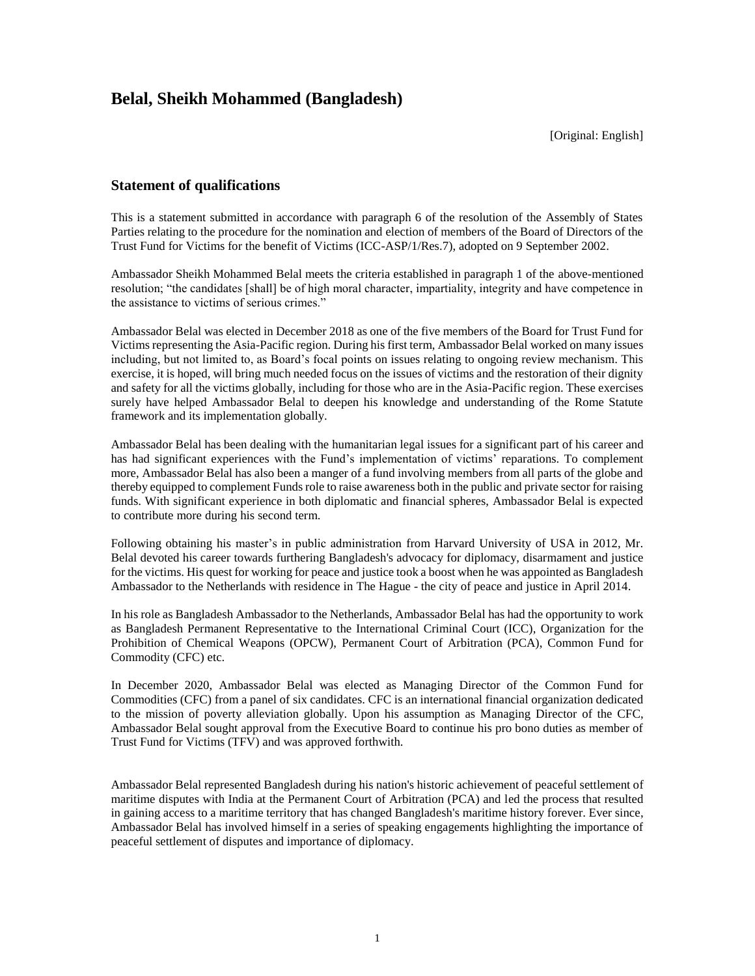# **Belal, Sheikh Mohammed (Bangladesh)**

[Original: English]

# **Statement of qualifications**

This is a statement submitted in accordance with paragraph 6 of the resolution of the Assembly of States Parties relating to the procedure for the nomination and election of members of the Board of Directors of the Trust Fund for Victims for the benefit of Victims (ICC-ASP/1/Res.7), adopted on 9 September 2002.

Ambassador Sheikh Mohammed Belal meets the criteria established in paragraph 1 of the above-mentioned resolution; "the candidates [shall] be of high moral character, impartiality, integrity and have competence in the assistance to victims of serious crimes."

Ambassador Belal was elected in December 2018 as one of the five members of the Board for Trust Fund for Victims representing the Asia-Pacific region. During his first term, Ambassador Belal worked on many issues including, but not limited to, as Board's focal points on issues relating to ongoing review mechanism. This exercise, it is hoped, will bring much needed focus on the issues of victims and the restoration of their dignity and safety for all the victims globally, including for those who are in the Asia-Pacific region. These exercises surely have helped Ambassador Belal to deepen his knowledge and understanding of the Rome Statute framework and its implementation globally.

Ambassador Belal has been dealing with the humanitarian legal issues for a significant part of his career and has had significant experiences with the Fund's implementation of victims' reparations. To complement more, Ambassador Belal has also been a manger of a fund involving members from all parts of the globe and thereby equipped to complement Funds role to raise awareness both in the public and private sector for raising funds. With significant experience in both diplomatic and financial spheres, Ambassador Belal is expected to contribute more during his second term.

Following obtaining his master's in public administration from Harvard University of USA in 2012, Mr. Belal devoted his career towards furthering Bangladesh's advocacy for diplomacy, disarmament and justice for the victims. His quest for working for peace and justice took a boost when he was appointed as Bangladesh Ambassador to the Netherlands with residence in The Hague - the city of peace and justice in April 2014.

In his role as Bangladesh Ambassador to the Netherlands, Ambassador Belal has had the opportunity to work as Bangladesh Permanent Representative to the International Criminal Court (ICC), Organization for the Prohibition of Chemical Weapons (OPCW), Permanent Court of Arbitration (PCA), Common Fund for Commodity (CFC) etc.

In December 2020, Ambassador Belal was elected as Managing Director of the Common Fund for Commodities (CFC) from a panel of six candidates. CFC is an international financial organization dedicated to the mission of poverty alleviation globally. Upon his assumption as Managing Director of the CFC, Ambassador Belal sought approval from the Executive Board to continue his pro bono duties as member of Trust Fund for Victims (TFV) and was approved forthwith.

Ambassador Belal represented Bangladesh during his nation's historic achievement of peaceful settlement of maritime disputes with India at the Permanent Court of Arbitration (PCA) and led the process that resulted in gaining access to a maritime territory that has changed Bangladesh's maritime history forever. Ever since, Ambassador Belal has involved himself in a series of speaking engagements highlighting the importance of peaceful settlement of disputes and importance of diplomacy.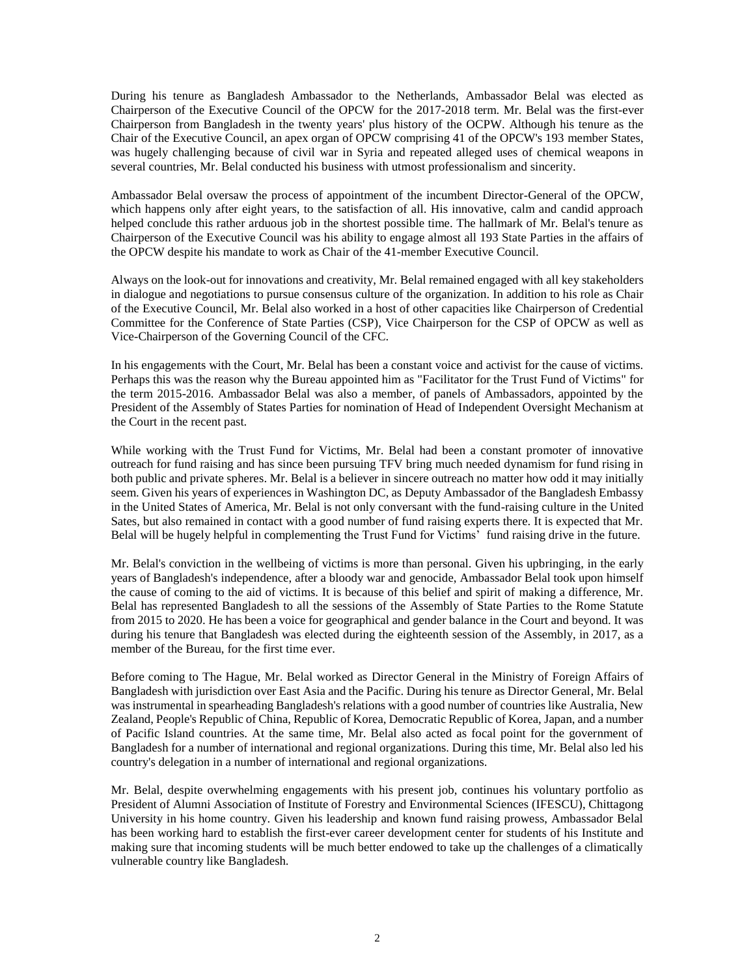During his tenure as Bangladesh Ambassador to the Netherlands, Ambassador Belal was elected as Chairperson of the Executive Council of the OPCW for the 2017-2018 term. Mr. Belal was the first-ever Chairperson from Bangladesh in the twenty years' plus history of the OCPW. Although his tenure as the Chair of the Executive Council, an apex organ of OPCW comprising 41 of the OPCW's 193 member States, was hugely challenging because of civil war in Syria and repeated alleged uses of chemical weapons in several countries, Mr. Belal conducted his business with utmost professionalism and sincerity.

Ambassador Belal oversaw the process of appointment of the incumbent Director-General of the OPCW, which happens only after eight years, to the satisfaction of all. His innovative, calm and candid approach helped conclude this rather arduous job in the shortest possible time. The hallmark of Mr. Belal's tenure as Chairperson of the Executive Council was his ability to engage almost all 193 State Parties in the affairs of the OPCW despite his mandate to work as Chair of the 41-member Executive Council.

Always on the look-out for innovations and creativity, Mr. Belal remained engaged with all key stakeholders in dialogue and negotiations to pursue consensus culture of the organization. In addition to his role as Chair of the Executive Council, Mr. Belal also worked in a host of other capacities like Chairperson of Credential Committee for the Conference of State Parties (CSP), Vice Chairperson for the CSP of OPCW as well as Vice-Chairperson of the Governing Council of the CFC.

In his engagements with the Court, Mr. Belal has been a constant voice and activist for the cause of victims. Perhaps this was the reason why the Bureau appointed him as "Facilitator for the Trust Fund of Victims" for the term 2015-2016. Ambassador Belal was also a member, of panels of Ambassadors, appointed by the President of the Assembly of States Parties for nomination of Head of Independent Oversight Mechanism at the Court in the recent past.

While working with the Trust Fund for Victims, Mr. Belal had been a constant promoter of innovative outreach for fund raising and has since been pursuing TFV bring much needed dynamism for fund rising in both public and private spheres. Mr. Belal is a believer in sincere outreach no matter how odd it may initially seem. Given his years of experiences in Washington DC, as Deputy Ambassador of the Bangladesh Embassy in the United States of America, Mr. Belal is not only conversant with the fund-raising culture in the United Sates, but also remained in contact with a good number of fund raising experts there. It is expected that Mr. Belal will be hugely helpful in complementing the Trust Fund for Victims' fund raising drive in the future.

Mr. Belal's conviction in the wellbeing of victims is more than personal. Given his upbringing, in the early years of Bangladesh's independence, after a bloody war and genocide, Ambassador Belal took upon himself the cause of coming to the aid of victims. It is because of this belief and spirit of making a difference, Mr. Belal has represented Bangladesh to all the sessions of the Assembly of State Parties to the Rome Statute from 2015 to 2020. He has been a voice for geographical and gender balance in the Court and beyond. It was during his tenure that Bangladesh was elected during the eighteenth session of the Assembly, in 2017, as a member of the Bureau, for the first time ever.

Before coming to The Hague, Mr. Belal worked as Director General in the Ministry of Foreign Affairs of Bangladesh with jurisdiction over East Asia and the Pacific. During his tenure as Director General, Mr. Belal was instrumental in spearheading Bangladesh's relations with a good number of countries like Australia, New Zealand, People's Republic of China, Republic of Korea, Democratic Republic of Korea, Japan, and a number of Pacific Island countries. At the same time, Mr. Belal also acted as focal point for the government of Bangladesh for a number of international and regional organizations. During this time, Mr. Belal also led his country's delegation in a number of international and regional organizations.

Mr. Belal, despite overwhelming engagements with his present job, continues his voluntary portfolio as President of Alumni Association of Institute of Forestry and Environmental Sciences (IFESCU), Chittagong University in his home country. Given his leadership and known fund raising prowess, Ambassador Belal has been working hard to establish the first-ever career development center for students of his Institute and making sure that incoming students will be much better endowed to take up the challenges of a climatically vulnerable country like Bangladesh.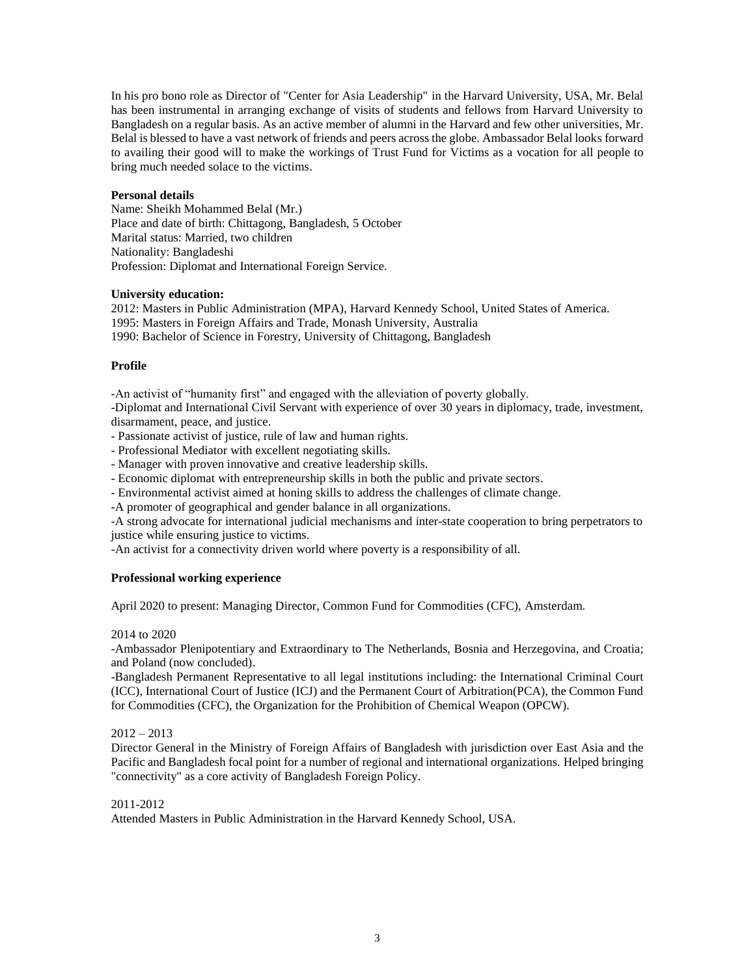In his pro bono role as Director of "Center for Asia Leadership" in the Harvard University, USA, Mr. Belal has been instrumental in arranging exchange of visits of students and fellows from Harvard University to Bangladesh on a regular basis. As an active member of alumni in the Harvard and few other universities, Mr. Belal is blessed to have a vast network of friends and peers across the globe. Ambassador Belal looks forward to availing their good will to make the workings of Trust Fund for Victims as a vocation for all people to bring much needed solace to the victims.

### **Personal details**

Name: Sheikh Mohammed Belal (Mr.) Place and date of birth: Chittagong, Bangladesh, 5 October Marital status: Married, two children Nationality: Bangladeshi Profession: Diplomat and International Foreign Service.

# **University education:**

2012: Masters in Public Administration (MPA), Harvard Kennedy School, United States of America. 1995: Masters in Foreign Affairs and Trade, Monash University, Australia 1990: Bachelor of Science in Forestry, University of Chittagong, Bangladesh

# **Profile**

-An activist of "humanity first" and engaged with the alleviation of poverty globally.

-Diplomat and International Civil Servant with experience of over 30 years in diplomacy, trade, investment, disarmament, peace, and justice.

- Passionate activist of justice, rule of law and human rights.

- Professional Mediator with excellent negotiating skills.

- Manager with proven innovative and creative leadership skills.

- Economic diplomat with entrepreneurship skills in both the public and private sectors.
- Environmental activist aimed at honing skills to address the challenges of climate change.
- -A promoter of geographical and gender balance in all organizations.

-A strong advocate for international judicial mechanisms and inter-state cooperation to bring perpetrators to justice while ensuring justice to victims.

-An activist for a connectivity driven world where poverty is a responsibility of all.

# **Professional working experience**

April 2020 to present: Managing Director, Common Fund for Commodities (CFC), Amsterdam.

#### 2014 to 2020

-Ambassador Plenipotentiary and Extraordinary to The Netherlands, Bosnia and Herzegovina, and Croatia; and Poland (now concluded).

-Bangladesh Permanent Representative to all legal institutions including: the International Criminal Court (ICC), International Court of Justice (ICJ) and the Permanent Court of Arbitration(PCA), the Common Fund for Commodities (CFC), the Organization for the Prohibition of Chemical Weapon (OPCW).

# $2012 - 2013$

Director General in the Ministry of Foreign Affairs of Bangladesh with jurisdiction over East Asia and the Pacific and Bangladesh focal point for a number of regional and international organizations. Helped bringing "connectivity" as a core activity of Bangladesh Foreign Policy.

#### 2011-2012

Attended Masters in Public Administration in the Harvard Kennedy School, USA.